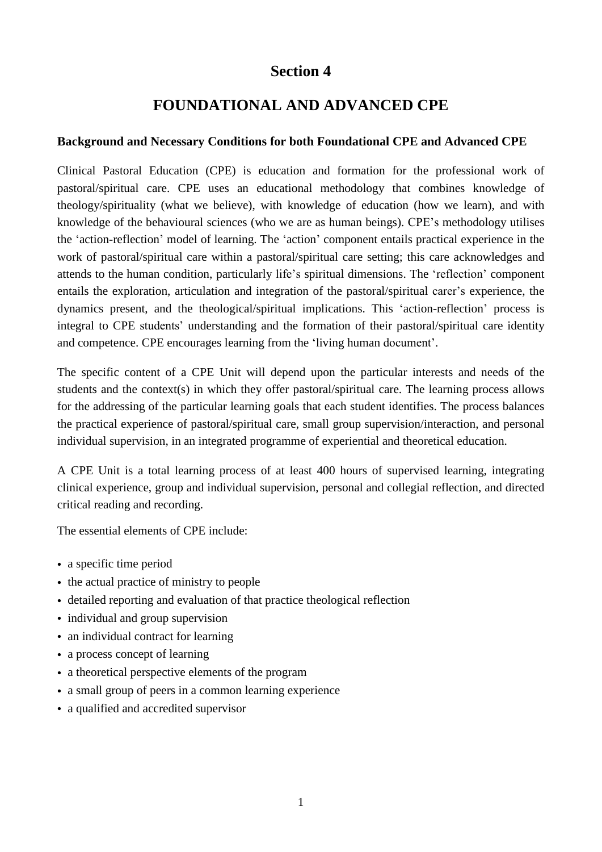# **Section 4**

# **FOUNDATIONAL AND ADVANCED CPE**

## **Background and Necessary Conditions for both Foundational CPE and Advanced CPE**

Clinical Pastoral Education (CPE) is education and formation for the professional work of pastoral/spiritual care. CPE uses an educational methodology that combines knowledge of theology/spirituality (what we believe), with knowledge of education (how we learn), and with knowledge of the behavioural sciences (who we are as human beings). CPE's methodology utilises the 'action-reflection' model of learning. The 'action' component entails practical experience in the work of pastoral/spiritual care within a pastoral/spiritual care setting; this care acknowledges and attends to the human condition, particularly life's spiritual dimensions. The 'reflection' component entails the exploration, articulation and integration of the pastoral/spiritual carer's experience, the dynamics present, and the theological/spiritual implications. This 'action-reflection' process is integral to CPE students' understanding and the formation of their pastoral/spiritual care identity and competence. CPE encourages learning from the 'living human document'.

The specific content of a CPE Unit will depend upon the particular interests and needs of the students and the context(s) in which they offer pastoral/spiritual care. The learning process allows for the addressing of the particular learning goals that each student identifies. The process balances the practical experience of pastoral/spiritual care, small group supervision/interaction, and personal individual supervision, in an integrated programme of experiential and theoretical education.

A CPE Unit is a total learning process of at least 400 hours of supervised learning, integrating clinical experience, group and individual supervision, personal and collegial reflection, and directed critical reading and recording.

The essential elements of CPE include:

- a specific time period
- the actual practice of ministry to people
- detailed reporting and evaluation of that practice theological reflection
- individual and group supervision
- an individual contract for learning
- a process concept of learning
- a theoretical perspective elements of the program
- a small group of peers in a common learning experience
- a qualified and accredited supervisor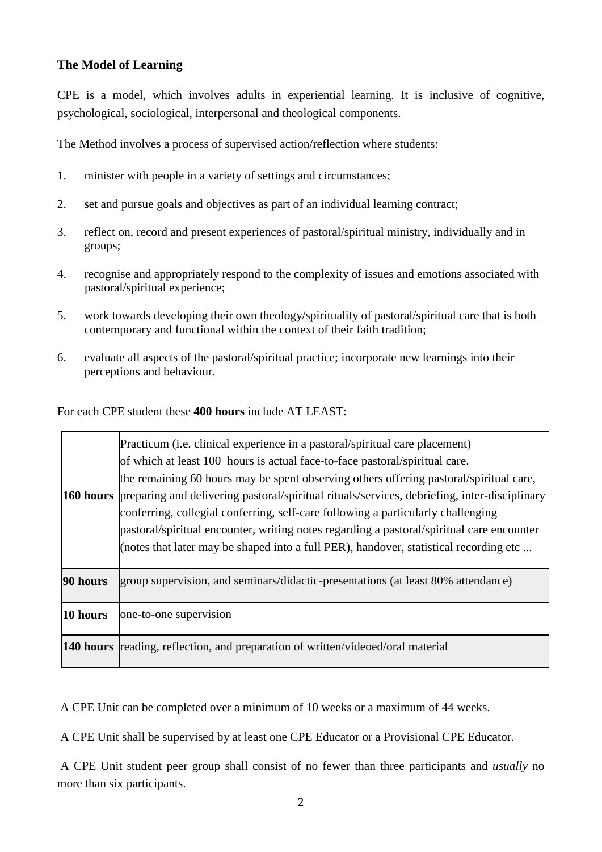# **The Model of Learning**

CPE is a model, which involves adults in experiential learning. It is inclusive of cognitive, psychological, sociological, interpersonal and theological components.

The Method involves a process of supervised action/reflection where students:

- 1. minister with people in a variety of settings and circumstances;
- 2. set and pursue goals and objectives as part of an individual learning contract;
- 3. reflect on, record and present experiences of pastoral/spiritual ministry, individually and in groups;
- 4. recognise and appropriately respond to the complexity of issues and emotions associated with pastoral/spiritual experience;
- 5. work towards developing their own theology/spirituality of pastoral/spiritual care that is both contemporary and functional within the context of their faith tradition;
- 6. evaluate all aspects of the pastoral/spiritual practice; incorporate new learnings into their perceptions and behaviour.

For each CPE student these **400 hours** include AT LEAST:

|          | Practicum ( <i>i.e.</i> clinical experience in a pastoral/spiritual care placement)<br>of which at least 100 hours is actual face-to-face pastoral/spiritual care.<br>the remaining 60 hours may be spent observing others offering pastoral/spiritual care,<br>160 hours preparing and delivering pastoral/spiritual rituals/services, debriefing, inter-disciplinary<br>conferring, collegial conferring, self-care following a particularly challenging<br>pastoral/spiritual encounter, writing notes regarding a pastoral/spiritual care encounter<br>(notes that later may be shaped into a full PER), handover, statistical recording etc |
|----------|--------------------------------------------------------------------------------------------------------------------------------------------------------------------------------------------------------------------------------------------------------------------------------------------------------------------------------------------------------------------------------------------------------------------------------------------------------------------------------------------------------------------------------------------------------------------------------------------------------------------------------------------------|
| 90 hours | group supervision, and seminars/didactic-presentations (at least 80% attendance)                                                                                                                                                                                                                                                                                                                                                                                                                                                                                                                                                                 |
| 10 hours | one-to-one supervision                                                                                                                                                                                                                                                                                                                                                                                                                                                                                                                                                                                                                           |
|          | <b>140 hours</b> reading, reflection, and preparation of written/videoed/oral material                                                                                                                                                                                                                                                                                                                                                                                                                                                                                                                                                           |

A CPE Unit can be completed over a minimum of 10 weeks or a maximum of 44 weeks.

A CPE Unit shall be supervised by at least one CPE Educator or a Provisional CPE Educator.

A CPE Unit student peer group shall consist of no fewer than three participants and *usually* no more than six participants.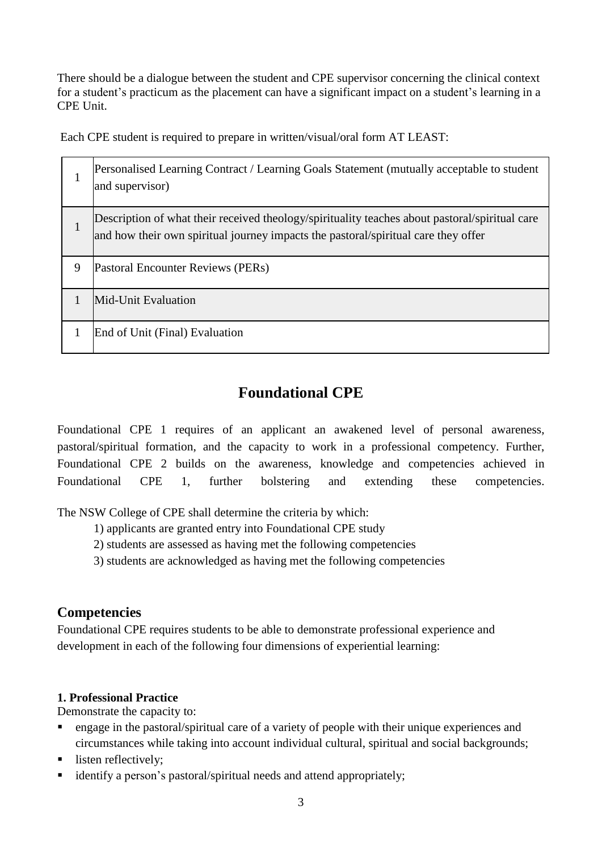There should be a dialogue between the student and CPE supervisor concerning the clinical context for a student's practicum as the placement can have a significant impact on a student's learning in a CPE Unit.

Each CPE student is required to prepare in written/visual/oral form AT LEAST:

|   | Personalised Learning Contract / Learning Goals Statement (mutually acceptable to student<br>and supervisor)                                                                         |
|---|--------------------------------------------------------------------------------------------------------------------------------------------------------------------------------------|
|   | Description of what their received theology/spirituality teaches about pastoral/spiritual care<br>and how their own spiritual journey impacts the pastoral/spiritual care they offer |
| 9 | Pastoral Encounter Reviews (PERs)                                                                                                                                                    |
|   | Mid-Unit Evaluation                                                                                                                                                                  |
|   | End of Unit (Final) Evaluation                                                                                                                                                       |

# **Foundational CPE**

Foundational CPE 1 requires of an applicant an awakened level of personal awareness, pastoral/spiritual formation, and the capacity to work in a professional competency. Further, Foundational CPE 2 builds on the awareness, knowledge and competencies achieved in Foundational CPE 1, further bolstering and extending these competencies.

The NSW College of CPE shall determine the criteria by which:

- 1) applicants are granted entry into Foundational CPE study
- 2) students are assessed as having met the following competencies
- 3) students are acknowledged as having met the following competencies

# **Competencies**

Foundational CPE requires students to be able to demonstrate professional experience and development in each of the following four dimensions of experiential learning:

# **1. Professional Practice**

Demonstrate the capacity to:

- engage in the pastoral/spiritual care of a variety of people with their unique experiences and circumstances while taking into account individual cultural, spiritual and social backgrounds;
- listen reflectively:
- identify a person's pastoral/spiritual needs and attend appropriately;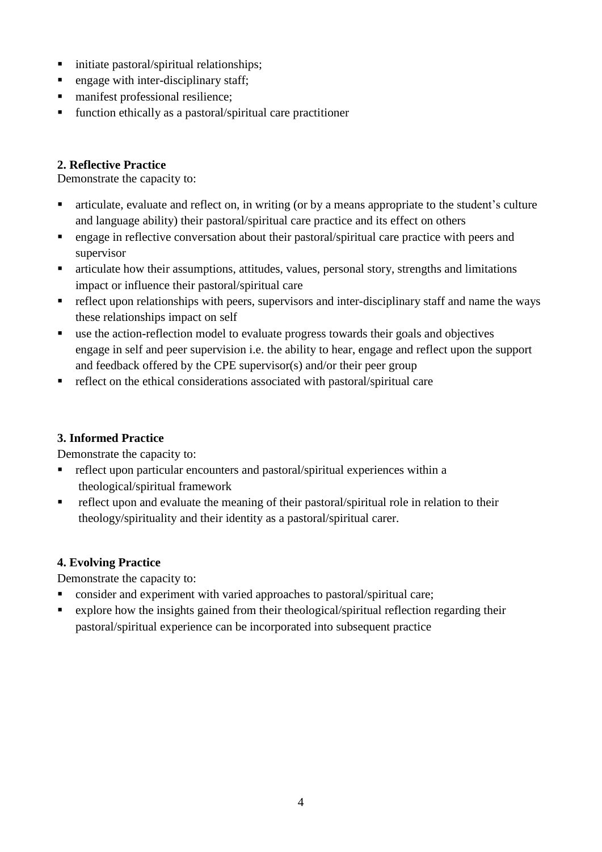- $\blacksquare$  initiate pastoral/spiritual relationships;
- $\blacksquare$  engage with inter-disciplinary staff;
- manifest professional resilience;
- $\blacksquare$  function ethically as a pastoral/spiritual care practitioner

### **2. Reflective Practice**

Demonstrate the capacity to:

- articulate, evaluate and reflect on, in writing (or by a means appropriate to the student's culture and language ability) their pastoral/spiritual care practice and its effect on others
- engage in reflective conversation about their pastoral/spiritual care practice with peers and supervisor
- articulate how their assumptions, attitudes, values, personal story, strengths and limitations impact or influence their pastoral/spiritual care
- $\blacksquare$  reflect upon relationships with peers, supervisors and inter-disciplinary staff and name the ways these relationships impact on self
- use the action-reflection model to evaluate progress towards their goals and objectives engage in self and peer supervision i.e. the ability to hear, engage and reflect upon the support and feedback offered by the CPE supervisor(s) and/or their peer group
- reflect on the ethical considerations associated with pastoral/spiritual care

# **3. Informed Practice**

Demonstrate the capacity to:

- reflect upon particular encounters and pastoral/spiritual experiences within a theological/spiritual framework
- reflect upon and evaluate the meaning of their pastoral/spiritual role in relation to their theology/spirituality and their identity as a pastoral/spiritual carer.

# **4. Evolving Practice**

Demonstrate the capacity to:

- **Consider and experiment with varied approaches to pastoral/spiritual care;**
- explore how the insights gained from their theological/spiritual reflection regarding their pastoral/spiritual experience can be incorporated into subsequent practice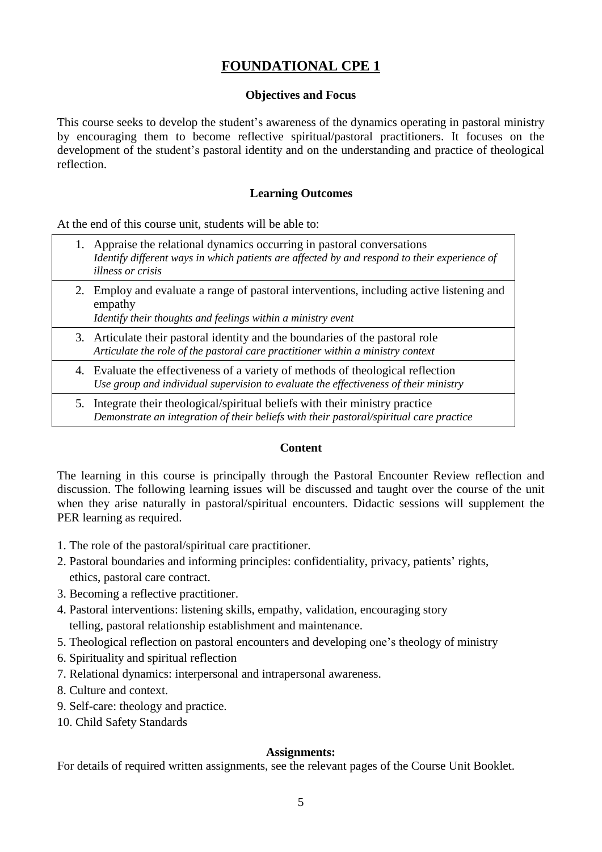# **FOUNDATIONAL CPE 1**

### **Objectives and Focus**

This course seeks to develop the student's awareness of the dynamics operating in pastoral ministry by encouraging them to become reflective spiritual/pastoral practitioners. It focuses on the development of the student's pastoral identity and on the understanding and practice of theological reflection.

### **Learning Outcomes**

At the end of this course unit, students will be able to:

- 1. Appraise the relational dynamics occurring in pastoral conversations *Identify different ways in which patients are affected by and respond to their experience of illness or crisis*
	- 2. Employ and evaluate a range of pastoral interventions, including active listening and empathy

*Identify their thoughts and feelings within a ministry event*

- 3. Articulate their pastoral identity and the boundaries of the pastoral role *Articulate the role of the pastoral care practitioner within a ministry context*
- 4. Evaluate the effectiveness of a variety of methods of theological reflection *Use group and individual supervision to evaluate the effectiveness of their ministry*
- 5. Integrate their theological/spiritual beliefs with their ministry practice *Demonstrate an integration of their beliefs with their pastoral/spiritual care practice*

#### **Content**

The learning in this course is principally through the Pastoral Encounter Review reflection and discussion. The following learning issues will be discussed and taught over the course of the unit when they arise naturally in pastoral/spiritual encounters. Didactic sessions will supplement the PER learning as required.

- 1. The role of the pastoral/spiritual care practitioner.
- 2. Pastoral boundaries and informing principles: confidentiality, privacy, patients' rights, ethics, pastoral care contract.
- 3. Becoming a reflective practitioner.
- 4. Pastoral interventions: listening skills, empathy, validation, encouraging story telling, pastoral relationship establishment and maintenance.
- 5. Theological reflection on pastoral encounters and developing one's theology of ministry
- 6. Spirituality and spiritual reflection
- 7. Relational dynamics: interpersonal and intrapersonal awareness.
- 8. Culture and context.
- 9. Self-care: theology and practice.
- 10. Child Safety Standards

### **Assignments:**

For details of required written assignments, see the relevant pages of the Course Unit Booklet.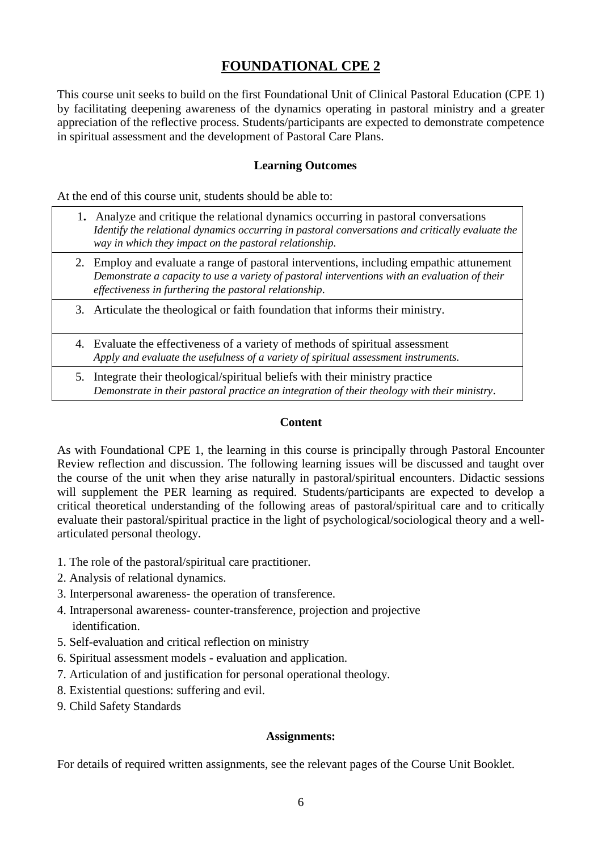# **FOUNDATIONAL CPE 2**

This course unit seeks to build on the first Foundational Unit of Clinical Pastoral Education (CPE 1) by facilitating deepening awareness of the dynamics operating in pastoral ministry and a greater appreciation of the reflective process. Students/participants are expected to demonstrate competence in spiritual assessment and the development of Pastoral Care Plans.

#### **Learning Outcomes**

At the end of this course unit, students should be able to:

- 1**.** Analyze and critique the relational dynamics occurring in pastoral conversations *Identify the relational dynamics occurring in pastoral conversations and critically evaluate the way in which they impact on the pastoral relationship.*
- 2. Employ and evaluate a range of pastoral interventions, including empathic attunement *Demonstrate a capacity to use a variety of pastoral interventions with an evaluation of their effectiveness in furthering the pastoral relationship*.
- 3. Articulate the theological or faith foundation that informs their ministry.
- 4. Evaluate the effectiveness of a variety of methods of spiritual assessment *Apply and evaluate the usefulness of a variety of spiritual assessment instruments.*
- 5. Integrate their theological/spiritual beliefs with their ministry practice *Demonstrate in their pastoral practice an integration of their theology with their ministry*.

#### **Content**

As with Foundational CPE 1, the learning in this course is principally through Pastoral Encounter Review reflection and discussion. The following learning issues will be discussed and taught over the course of the unit when they arise naturally in pastoral/spiritual encounters. Didactic sessions will supplement the PER learning as required. Students/participants are expected to develop a critical theoretical understanding of the following areas of pastoral/spiritual care and to critically evaluate their pastoral/spiritual practice in the light of psychological/sociological theory and a wellarticulated personal theology.

- 1. The role of the pastoral/spiritual care practitioner.
- 2. Analysis of relational dynamics.
- 3. Interpersonal awareness- the operation of transference.
- 4. Intrapersonal awareness- counter-transference, projection and projective identification.
- 5. Self-evaluation and critical reflection on ministry
- 6. Spiritual assessment models evaluation and application.
- 7. Articulation of and justification for personal operational theology.
- 8. Existential questions: suffering and evil.
- 9. Child Safety Standards

#### **Assignments:**

For details of required written assignments, see the relevant pages of the Course Unit Booklet.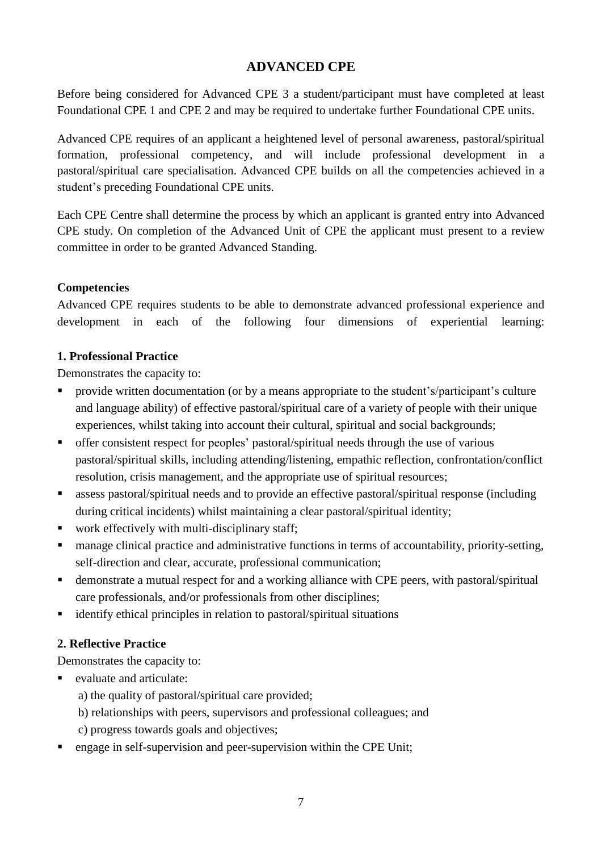# **ADVANCED CPE**

Before being considered for Advanced CPE 3 a student/participant must have completed at least Foundational CPE 1 and CPE 2 and may be required to undertake further Foundational CPE units.

Advanced CPE requires of an applicant a heightened level of personal awareness, pastoral/spiritual formation, professional competency, and will include professional development in a pastoral/spiritual care specialisation. Advanced CPE builds on all the competencies achieved in a student's preceding Foundational CPE units.

Each CPE Centre shall determine the process by which an applicant is granted entry into Advanced CPE study. On completion of the Advanced Unit of CPE the applicant must present to a review committee in order to be granted Advanced Standing.

### **Competencies**

Advanced CPE requires students to be able to demonstrate advanced professional experience and development in each of the following four dimensions of experiential learning:

### **1. Professional Practice**

Demonstrates the capacity to:

- **•** provide written documentation (or by a means appropriate to the student's/participant's culture and language ability) of effective pastoral/spiritual care of a variety of people with their unique experiences, whilst taking into account their cultural, spiritual and social backgrounds;
- offer consistent respect for peoples' pastoral/spiritual needs through the use of various pastoral/spiritual skills, including attending/listening, empathic reflection, confrontation/conflict resolution, crisis management, and the appropriate use of spiritual resources;
- assess pastoral/spiritual needs and to provide an effective pastoral/spiritual response (including during critical incidents) whilst maintaining a clear pastoral/spiritual identity;
- work effectively with multi-disciplinary staff;
- manage clinical practice and administrative functions in terms of accountability, priority-setting, self-direction and clear, accurate, professional communication;
- demonstrate a mutual respect for and a working alliance with CPE peers, with pastoral/spiritual care professionals, and/or professionals from other disciplines;
- $\blacksquare$  identify ethical principles in relation to pastoral/spiritual situations

# **2. Reflective Practice**

Demonstrates the capacity to:

- $\blacksquare$  evaluate and articulate:
	- a) the quality of pastoral/spiritual care provided;
	- b) relationships with peers, supervisors and professional colleagues; and
	- c) progress towards goals and objectives;
- **engage in self-supervision and peer-supervision within the CPE Unit;**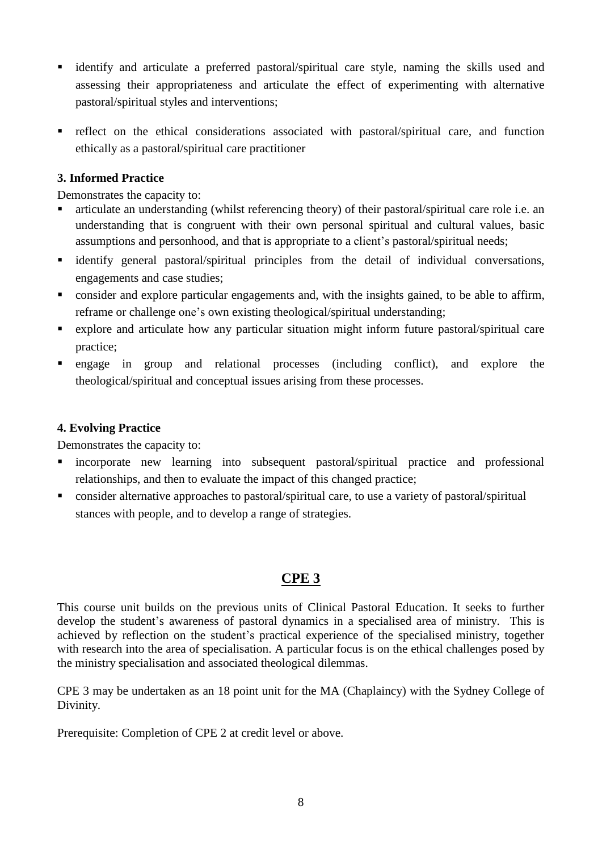- identify and articulate a preferred pastoral/spiritual care style, naming the skills used and assessing their appropriateness and articulate the effect of experimenting with alternative pastoral/spiritual styles and interventions;
- reflect on the ethical considerations associated with pastoral/spiritual care, and function ethically as a pastoral/spiritual care practitioner

### **3. Informed Practice**

Demonstrates the capacity to:

- articulate an understanding (whilst referencing theory) of their pastoral/spiritual care role i.e. an understanding that is congruent with their own personal spiritual and cultural values, basic assumptions and personhood, and that is appropriate to a client's pastoral/spiritual needs;
- identify general pastoral/spiritual principles from the detail of individual conversations, engagements and case studies;
- consider and explore particular engagements and, with the insights gained, to be able to affirm, reframe or challenge one's own existing theological/spiritual understanding;
- explore and articulate how any particular situation might inform future pastoral/spiritual care practice;
- engage in group and relational processes (including conflict), and explore the theological/spiritual and conceptual issues arising from these processes.

### **4. Evolving Practice**

Demonstrates the capacity to:

- incorporate new learning into subsequent pastoral/spiritual practice and professional relationships, and then to evaluate the impact of this changed practice;
- consider alternative approaches to pastoral/spiritual care, to use a variety of pastoral/spiritual stances with people, and to develop a range of strategies.

# **CPE 3**

This course unit builds on the previous units of Clinical Pastoral Education. It seeks to further develop the student's awareness of pastoral dynamics in a specialised area of ministry. This is achieved by reflection on the student's practical experience of the specialised ministry, together with research into the area of specialisation. A particular focus is on the ethical challenges posed by the ministry specialisation and associated theological dilemmas.

CPE 3 may be undertaken as an 18 point unit for the MA (Chaplaincy) with the Sydney College of Divinity.

Prerequisite: Completion of CPE 2 at credit level or above.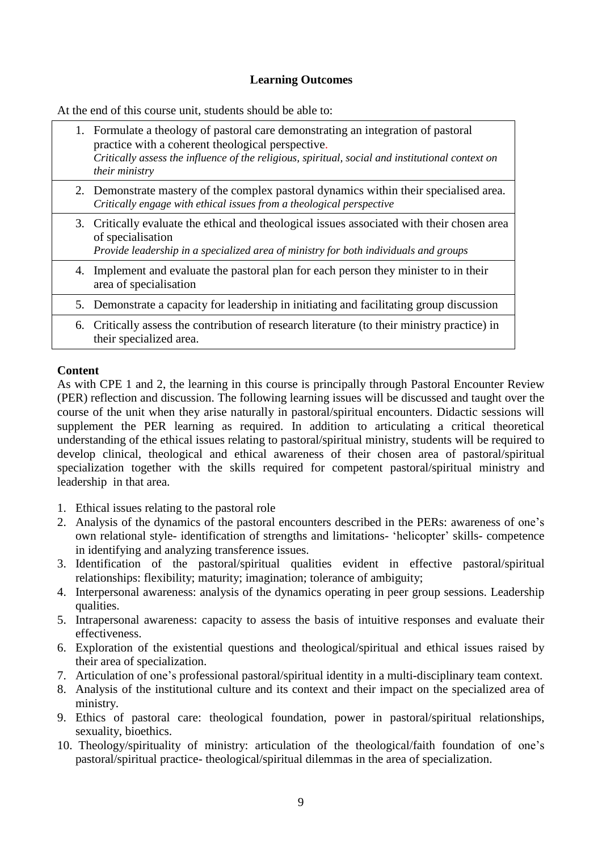### **Learning Outcomes**

At the end of this course unit, students should be able to:

|    | 1. Formulate a theology of pastoral care demonstrating an integration of pastoral<br>practice with a coherent theological perspective.<br>Critically assess the influence of the religious, spiritual, social and institutional context on<br><i>their ministry</i> |
|----|---------------------------------------------------------------------------------------------------------------------------------------------------------------------------------------------------------------------------------------------------------------------|
|    | 2. Demonstrate mastery of the complex pastoral dynamics within their specialised area.<br>Critically engage with ethical issues from a theological perspective                                                                                                      |
|    | 3. Critically evaluate the ethical and theological issues associated with their chosen area<br>of specialisation<br>Provide leadership in a specialized area of ministry for both individuals and groups                                                            |
|    | 4. Implement and evaluate the pastoral plan for each person they minister to in their<br>area of specialisation                                                                                                                                                     |
|    | 5. Demonstrate a capacity for leadership in initiating and facilitating group discussion                                                                                                                                                                            |
| 6. | Critically assess the contribution of research literature (to their ministry practice) in<br>their specialized area.                                                                                                                                                |

### **Content**

As with CPE 1 and 2, the learning in this course is principally through Pastoral Encounter Review (PER) reflection and discussion. The following learning issues will be discussed and taught over the course of the unit when they arise naturally in pastoral/spiritual encounters. Didactic sessions will supplement the PER learning as required. In addition to articulating a critical theoretical understanding of the ethical issues relating to pastoral/spiritual ministry, students will be required to develop clinical, theological and ethical awareness of their chosen area of pastoral/spiritual specialization together with the skills required for competent pastoral/spiritual ministry and leadership in that area.

- 1. Ethical issues relating to the pastoral role
- 2. Analysis of the dynamics of the pastoral encounters described in the PERs: awareness of one's own relational style- identification of strengths and limitations- 'helicopter' skills- competence in identifying and analyzing transference issues.
- 3. Identification of the pastoral/spiritual qualities evident in effective pastoral/spiritual relationships: flexibility; maturity; imagination; tolerance of ambiguity;
- 4. Interpersonal awareness: analysis of the dynamics operating in peer group sessions. Leadership qualities.
- 5. Intrapersonal awareness: capacity to assess the basis of intuitive responses and evaluate their effectiveness.
- 6. Exploration of the existential questions and theological/spiritual and ethical issues raised by their area of specialization.
- 7. Articulation of one's professional pastoral/spiritual identity in a multi-disciplinary team context.
- 8. Analysis of the institutional culture and its context and their impact on the specialized area of ministry.
- 9. Ethics of pastoral care: theological foundation, power in pastoral/spiritual relationships, sexuality, bioethics.
- 10. Theology/spirituality of ministry: articulation of the theological/faith foundation of one's pastoral/spiritual practice- theological/spiritual dilemmas in the area of specialization.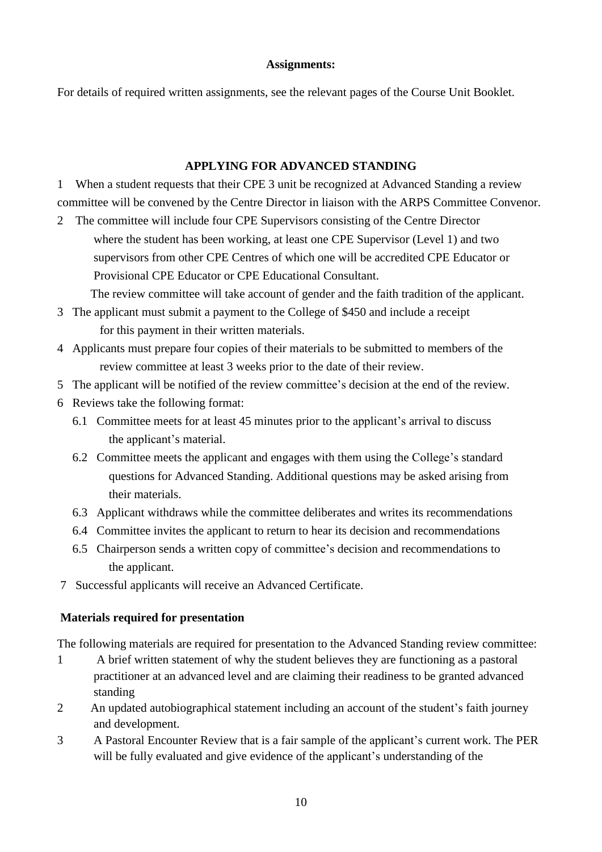### **Assignments:**

For details of required written assignments, see the relevant pages of the Course Unit Booklet.

## **APPLYING FOR ADVANCED STANDING**

1 When a student requests that their CPE 3 unit be recognized at Advanced Standing a review committee will be convened by the Centre Director in liaison with the ARPS Committee Convenor.

2 The committee will include four CPE Supervisors consisting of the Centre Director where the student has been working, at least one CPE Supervisor (Level 1) and two supervisors from other CPE Centres of which one will be accredited CPE Educator or Provisional CPE Educator or CPE Educational Consultant.

The review committee will take account of gender and the faith tradition of the applicant.

- 3 The applicant must submit a payment to the College of \$450 and include a receipt for this payment in their written materials.
- 4 Applicants must prepare four copies of their materials to be submitted to members of the review committee at least 3 weeks prior to the date of their review.
- 5 The applicant will be notified of the review committee's decision at the end of the review.
- 6 Reviews take the following format:
	- 6.1 Committee meets for at least 45 minutes prior to the applicant's arrival to discuss the applicant's material.
	- 6.2 Committee meets the applicant and engages with them using the College's standard questions for Advanced Standing. Additional questions may be asked arising from their materials.
	- 6.3 Applicant withdraws while the committee deliberates and writes its recommendations
	- 6.4 Committee invites the applicant to return to hear its decision and recommendations
	- 6.5 Chairperson sends a written copy of committee's decision and recommendations to the applicant.
- 7 Successful applicants will receive an Advanced Certificate.

# **Materials required for presentation**

The following materials are required for presentation to the Advanced Standing review committee:

- 1 A brief written statement of why the student believes they are functioning as a pastoral practitioner at an advanced level and are claiming their readiness to be granted advanced standing
- 2 An updated autobiographical statement including an account of the student's faith journey and development.
- 3 A Pastoral Encounter Review that is a fair sample of the applicant's current work. The PER will be fully evaluated and give evidence of the applicant's understanding of the